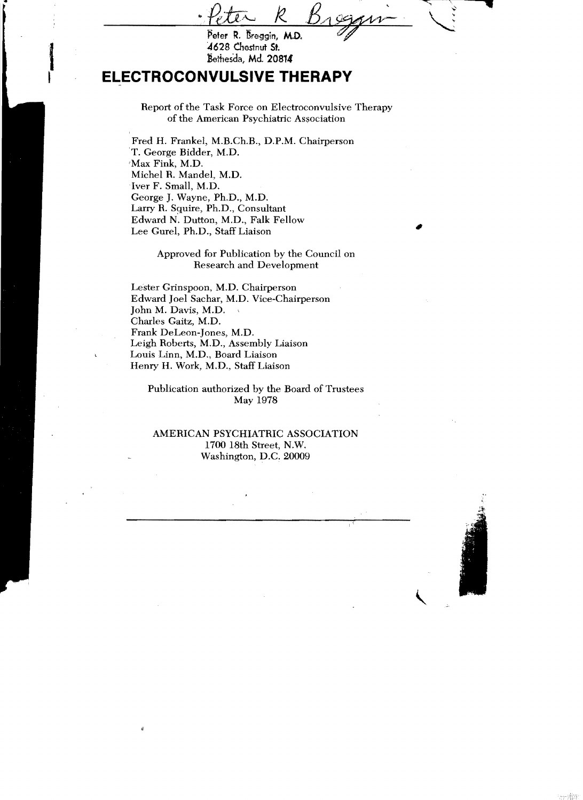## **ELECTROCONVULSIVE THERAPY**

Report of the Task Force on Electroconvulsive Therapy of the American Psychiatric Association

Fred H. Frankel, M.B.Ch.B., D.P.M. Chairperson T. George Bidder, M.D. 'Max Fink, M.D. Michel R. Mandel, M.D. Iver F. Small, M.D. George J. Wayne, Ph.D., M.D. Larry R. Sguire, Ph.D., Consultant Edward N. Dutton, M.D., Falk Fellow Lee Gurel, Ph.D., Staff Liaison

> Approved for Publication by the Council on Research and Development

Lester Grinspoon, M.D. Chairperson Edward Joel Sachar, M.D. Vice-Chairperson John M. Davis, M.D. Charles Gaitz, M.D. Frank DeLeon-Jones, M.D. Leigh Roberts, M.D., Assembly Liaison Louis Linn, M.D., Board Liaison Henry H. Work, M.D., Staff Liaison

À

Publication authorized by the Board of Trustees May 1978

## AMERICAN PSYCHIATRIC ASSOCIATION 1700 18th Street, N.W. Washington, D.C. 20009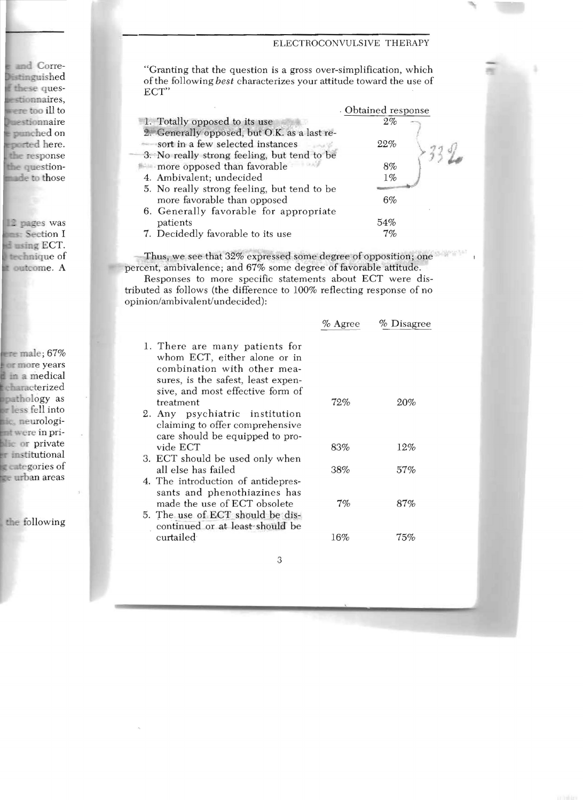## ELECTROCONVULSIVE THERAPY

"Granting that the question is a gross over-simplification, which ofthe following *best* characterizes your attitude toward the use of ECT"

|                                              | . Obtained response |
|----------------------------------------------|---------------------|
| 1. Totally opposed to its use                | 2%                  |
| 2. Generally opposed, but O.K. as a last re- |                     |
| sort in a few selected instances             | 22%                 |
| 3. No really strong feeling, but tend to be  |                     |
| more opposed than favorable                  | 8%                  |
| 4. Ambivalent; undecided                     | $1\%$               |
| 5. No really strong feeling, but tend to be  |                     |
| more favorable than opposed                  | $6\%$               |
| 6. Generally favorable for appropriate       |                     |
| patients                                     | 54%                 |
| 7. Decidedly favorable to its use            | 7%                  |

Thus, we see that 32% expressed some degree of opposition; one percent, ambivalence; and 67% some degree of favorable attitude.

Responses to more specific statements about ECT were distributed as follows (the difference to lOO% reflecting response of no opinion/ambivalent/undecided):

|                                                                                                                                                                         | $%$ Agree | % Disagree |
|-------------------------------------------------------------------------------------------------------------------------------------------------------------------------|-----------|------------|
| 1. There are many patients for<br>whom ECT, either alone or in<br>combination with other mea-<br>sures, is the safest, least expen-<br>sive, and most effective form of |           |            |
| treatment                                                                                                                                                               | 72%       | 20%        |
| 2. Any psychiatric institution<br>claiming to offer comprehensive<br>care should be equipped to pro-                                                                    |           |            |
| vide ECT                                                                                                                                                                | 83%       | 12%        |
| 3. ECT should be used only when                                                                                                                                         |           |            |
| all else has failed                                                                                                                                                     | 38%       | 57%        |
| 4. The introduction of antidepres-<br>sants and phenothiazines has                                                                                                      |           |            |
| made the use of ECT obsolete                                                                                                                                            | 7%        | 87%        |
| 5. The use of ECT should be dis-<br>continued or at least should be                                                                                                     |           |            |
| curtailed                                                                                                                                                               | 16%       | 75%        |
|                                                                                                                                                                         |           |            |